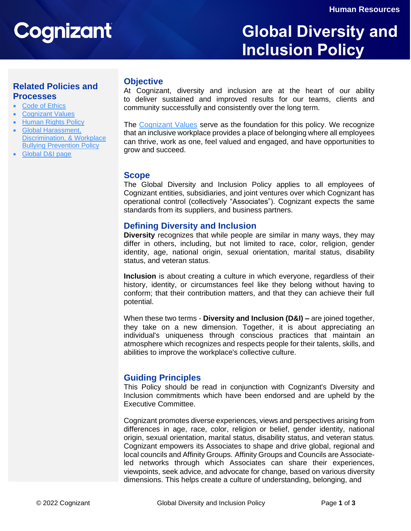# Cognizant

# **Global Diversity and Inclusion Policy**

# **Related Policies and Processes**

- [Code of Ethics](https://www.cognizant.com/about-cognizant-resources/code-of-ethics.pdf)
- [Cognizant Values](https://www.cognizant.com/us/en/about-cognizant/culture-and-values)
- **[Human Rights Policy](https://www.cognizant.com/Resources/human-rights-policy.pdf)**
- [Global Harassment,](https://www.cognizant.com/us/en/documents/global-harassment-discrimination-and-bullying-policy.pdf) [Discrimination,](https://www.cognizant.com/us/en/documents/global-harassment-discrimination-and-bullying-policy.pdf) & Workplace [Bullying Prevention Policy](https://www.cognizant.com/us/en/documents/global-harassment-discrimination-and-bullying-policy.pdf)
- [Global D&I page](https://www.cognizant.com/us/en/about-cognizant/diversity-and-inclusion)

#### **Objective**

At Cognizant, diversity and inclusion are at the heart of our ability to deliver sustained and improved results for our teams, clients and community successfully and consistently over the long term.

The [Cognizant Values](https://www.cognizant.com/us/en/about-cognizant/culture-and-values) serve as the foundation for this policy. We recognize that an inclusive workplace provides a place of belonging where all employees can thrive, work as one, feel valued and engaged, and have opportunities to grow and succeed.

#### **Scope**

The Global Diversity and Inclusion Policy applies to all employees of Cognizant entities, subsidiaries, and joint ventures over which Cognizant has operational control (collectively "Associates"). Cognizant expects the same standards from its suppliers, and business partners.

#### **Defining Diversity and Inclusion**

**Diversity** recognizes that while people are similar in many ways, they may differ in others, including, but not limited to race, color, religion, gender identity, age, national origin, sexual orientation, marital status, disability status, and veteran status.

**Inclusion** is about creating a culture in which everyone, regardless of their history, identity, or circumstances feel like they belong without having to conform; that their contribution matters, and that they can achieve their full potential.

When these two terms - **Diversity and Inclusion (D&I) –** are joined together, they take on a new dimension. Together, it is about appreciating an individual's uniqueness through conscious practices that maintain an atmosphere which recognizes and respects people for their talents, skills, and abilities to improve the workplace's collective culture.

## **Guiding Principles**

This Policy should be read in conjunction with Cognizant's Diversity and Inclusion commitments which have been endorsed and are upheld by the Executive Committee.

Cognizant promotes diverse experiences, views and perspectives arising from differences in age, race, color, religion or belief, gender identity, national origin, sexual orientation, marital status, disability status, and veteran status. Cognizant empowers its Associates to shape and drive global, regional and local councils and Affinity Groups. Affinity Groups and Councils are Associateled networks through which Associates can share their experiences, viewpoints, seek advice, and advocate for change, based on various diversity dimensions. This helps create a culture of understanding, belonging, and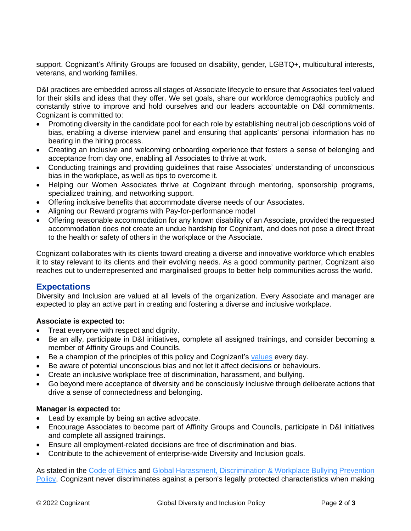support. Cognizant's Affinity Groups are focused on disability, gender, LGBTQ+, multicultural interests, veterans, and working families.

D&I practices are embedded across all stages of Associate lifecycle to ensure that Associates feel valued for their skills and ideas that they offer. We set goals, share our workforce demographics publicly and constantly strive to improve and hold ourselves and our leaders accountable on D&I commitments. Cognizant is committed to:

- Promoting diversity in the candidate pool for each role by establishing neutral job descriptions void of bias, enabling a diverse interview panel and ensuring that applicants' personal information has no bearing in the hiring process.
- Creating an inclusive and welcoming onboarding experience that fosters a sense of belonging and acceptance from day one, enabling all Associates to thrive at work.
- Conducting trainings and providing guidelines that raise Associates' understanding of unconscious bias in the workplace, as well as tips to overcome it.
- Helping our Women Associates thrive at Cognizant through mentoring, sponsorship programs, specialized training, and networking support.
- Offering inclusive benefits that accommodate diverse needs of our Associates.
- Aligning our Reward programs with Pay-for-performance model
- Offering reasonable accommodation for any known disability of an Associate, provided the requested accommodation does not create an undue hardship for Cognizant, and does not pose a direct threat to the health or safety of others in the workplace or the Associate.

Cognizant collaborates with its clients toward creating a diverse and innovative workforce which enables it to stay relevant to its clients and their evolving needs. As a good community partner, Cognizant also reaches out to underrepresented and marginalised groups to better help communities across the world.

## **Expectations**

Diversity and Inclusion are valued at all levels of the organization. Every Associate and manager are expected to play an active part in creating and fostering a diverse and inclusive workplace.

#### **Associate is expected to:**

- Treat everyone with respect and dignity.
- Be an ally, participate in D&I initiatives, complete all assigned trainings, and consider becoming a member of Affinity Groups and Councils.
- Be a champion of the principles of this policy and Cognizant's [values](https://www.cognizant.com/us/en/about-cognizant/culture-and-values) every day.
- Be aware of potential unconscious bias and not let it affect decisions or behaviours.
- Create an inclusive workplace free of discrimination, harassment, and bullying.
- Go beyond mere acceptance of diversity and be consciously inclusive through deliberate actions that drive a sense of connectedness and belonging.

#### **Manager is expected to:**

- Lead by example by being an active advocate.
- Encourage Associates to become part of Affinity Groups and Councils, participate in D&I initiatives and complete all assigned trainings.
- Ensure all employment-related decisions are free of discrimination and bias.
- Contribute to the achievement of enterprise-wide Diversity and Inclusion goals.

As stated in the [Code of Ethics](https://www.cognizant.com/about-cognizant-resources/code-of-ethics.pdf) and [Global Harassment, Discrimination](https://www.cognizant.com/us/en/documents/global-harassment-discrimination-and-bullying-policy.pdf) & Workplace Bullying Prevention [Policy,](https://www.cognizant.com/us/en/documents/global-harassment-discrimination-and-bullying-policy.pdf) Cognizant never discriminates against a person's legally protected characteristics when making